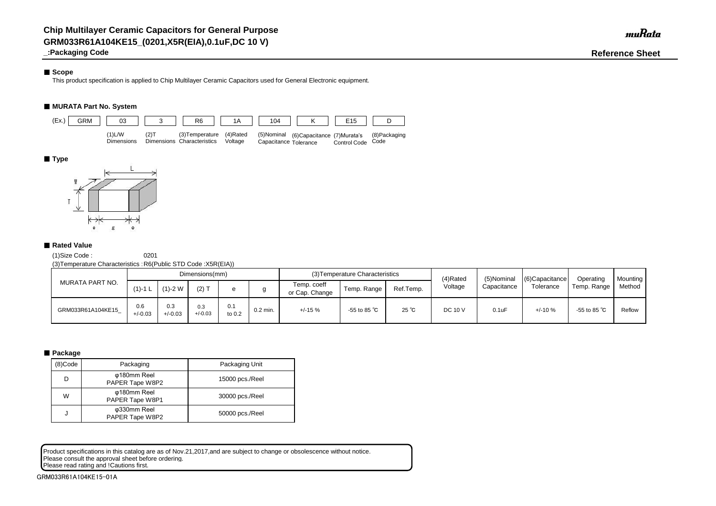## ■ Scope

**\_:Packaging Code Reference Sheet**

This product specification is applied to Chip Multilayer Ceramic Capacitors used for General Electronic equipment.

# ■ **MURATA Part No. System**

(1)Size Code : 0201

(3)Temperature Characteristics :R6(Public STD Code :X5R(EIA))

Product specifications in this catalog are as of Nov.21,2017,and are subject to change or obsolescence without notice. Please consult the approval sheet before ordering. Please read rating and !Cautions first.

| MURATA PART NO.   |                  |                  | Dimensions(mm)   |               |            |                               | (3) Temperature Characteristics |                | (4)Rated       | (5)Nominal  | $(6)$ Capacitance | Operating              | <b>Mounting</b> |
|-------------------|------------------|------------------|------------------|---------------|------------|-------------------------------|---------------------------------|----------------|----------------|-------------|-------------------|------------------------|-----------------|
|                   | $(1)$ -1 L       | $(1)-2$ W        | $(2)$ T          |               |            | Temp. coeff<br>or Cap. Change | Temp. Range                     | Ref.Temp.      | Voltage        | Capacitance | Tolerance         | Temp. Range            | Method          |
| GRM033R61A104KE15 | 0.6<br>$+/-0.03$ | 0.3<br>$+/-0.03$ | 0.3<br>$+/-0.03$ | 0.1<br>to 0.2 | $0.2$ min. | $+/-15%$                      | -55 to 85 $^{\circ}$ C          | $25^{\circ}$ C | <b>DC 10 V</b> | 0.1uF       | $+/-10%$          | -55 to 85 $^{\circ}$ C | Reflow          |

### ■ Package

| (8)Code | Packaging                      | Packaging Unit  |
|---------|--------------------------------|-----------------|
| D       | φ180mm Reel<br>PAPER Tape W8P2 | 15000 pcs./Reel |
| W       | φ180mm Reel<br>PAPER Tape W8P1 | 30000 pcs./Reel |
| J       | φ330mm Reel<br>PAPER Tape W8P2 | 50000 pcs./Reel |



### ■ **Type**



### ■ Rated Value

GRM033R61A104KE15-01A

muRata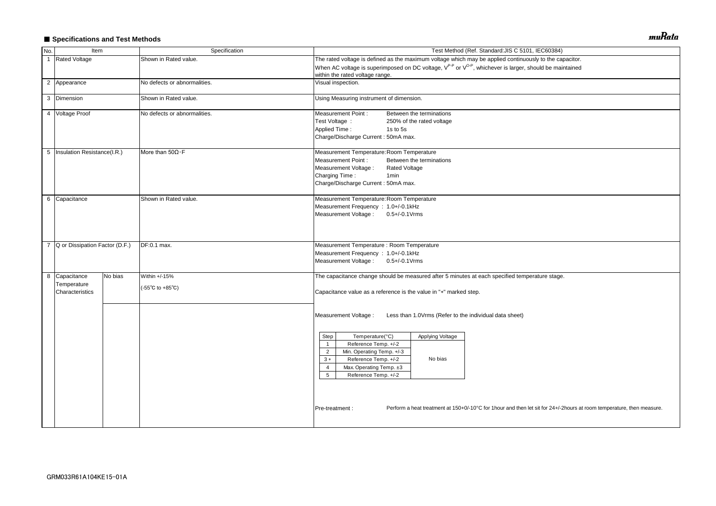# ■ Specifications and Test Methods

| No.            | Item                                            |         | Specification                                              | Test Method (Ref. Standard: JIS C 5101, IEC60384)                                                                                                                                                                                                                                                                                                                                                                                                                            |  |  |  |  |  |  |
|----------------|-------------------------------------------------|---------|------------------------------------------------------------|------------------------------------------------------------------------------------------------------------------------------------------------------------------------------------------------------------------------------------------------------------------------------------------------------------------------------------------------------------------------------------------------------------------------------------------------------------------------------|--|--|--|--|--|--|
| $\overline{1}$ | <b>Rated Voltage</b>                            |         | Shown in Rated value.                                      | The rated voltage is defined as the maximum voltage which may be applied continuously to the capacitor.                                                                                                                                                                                                                                                                                                                                                                      |  |  |  |  |  |  |
|                |                                                 |         |                                                            | When AC voltage is superimposed on DC voltage, V <sup>P-P</sup> or V <sup>O-P</sup> , whichever is larger, should be maintained<br>within the rated voltage range.                                                                                                                                                                                                                                                                                                           |  |  |  |  |  |  |
|                | 2 Appearance                                    |         | No defects or abnormalities.                               | Visual inspection.                                                                                                                                                                                                                                                                                                                                                                                                                                                           |  |  |  |  |  |  |
|                | 3 Dimension                                     |         | Shown in Rated value.                                      | Using Measuring instrument of dimension.                                                                                                                                                                                                                                                                                                                                                                                                                                     |  |  |  |  |  |  |
|                | 4 Voltage Proof                                 |         | No defects or abnormalities.                               | <b>Measurement Point:</b><br>Between the terminations<br>Test Voltage :<br>250% of the rated voltage<br><b>Applied Time:</b><br>1s to 5s<br>Charge/Discharge Current: 50mA max.                                                                                                                                                                                                                                                                                              |  |  |  |  |  |  |
|                | 5   Insulation Resistance(I.R.)                 |         | More than $50\Omega \cdot F$                               | Measurement Temperature: Room Temperature<br><b>Measurement Point:</b><br>Between the terminations<br>Measurement Voltage :<br><b>Rated Voltage</b><br>Charging Time:<br>1 <sub>min</sub><br>Charge/Discharge Current: 50mA max.                                                                                                                                                                                                                                             |  |  |  |  |  |  |
|                | 6 Capacitance                                   |         | Shown in Rated value.                                      | Measurement Temperature: Room Temperature<br>Measurement Frequency : 1.0+/-0.1kHz<br>Measurement Voltage: 0.5+/-0.1 Vrms                                                                                                                                                                                                                                                                                                                                                     |  |  |  |  |  |  |
| $\overline{7}$ | Q or Dissipation Factor (D.F.)<br>DF:0.1 max.   |         |                                                            | Measurement Temperature : Room Temperature<br>Measurement Frequency : 1.0+/-0.1kHz<br>Measurement Voltage: 0.5+/-0.1Vrms                                                                                                                                                                                                                                                                                                                                                     |  |  |  |  |  |  |
|                | 8 Capacitance<br>Temperature<br>Characteristics | No bias | Within +/-15%<br>$(-55^{\circ}C \text{ to } +85^{\circ}C)$ | The capacitance change should be measured after 5 minutes at each specified temperature stage.<br>Capacitance value as a reference is the value in "*" marked step.                                                                                                                                                                                                                                                                                                          |  |  |  |  |  |  |
|                |                                                 |         |                                                            | Measurement Voltage :<br>Less than 1.0Vrms (Refer to the individual data sheet)<br>Temperature(°C)<br>Applying Voltage<br>Step<br>Reference Temp. +/-2<br>$\overline{1}$<br>Min. Operating Temp. +/-3<br>$\overline{2}$<br>Reference Temp. +/-2<br>No bias<br>$3 *$<br>Max. Operating Temp. ±3<br>4<br>5<br>Reference Temp. +/-2<br>Perform a heat treatment at 150+0/-10°C for 1hour and then let sit for 24+/-2hours at room temperature, then measure.<br>Pre-treatment : |  |  |  |  |  |  |
|                |                                                 |         |                                                            |                                                                                                                                                                                                                                                                                                                                                                                                                                                                              |  |  |  |  |  |  |

muRata

| acitor.                                 |  |
|-----------------------------------------|--|
| tained                                  |  |
|                                         |  |
|                                         |  |
|                                         |  |
|                                         |  |
|                                         |  |
|                                         |  |
|                                         |  |
|                                         |  |
|                                         |  |
|                                         |  |
|                                         |  |
|                                         |  |
|                                         |  |
|                                         |  |
|                                         |  |
|                                         |  |
|                                         |  |
|                                         |  |
|                                         |  |
|                                         |  |
|                                         |  |
|                                         |  |
|                                         |  |
|                                         |  |
|                                         |  |
|                                         |  |
|                                         |  |
|                                         |  |
|                                         |  |
|                                         |  |
|                                         |  |
|                                         |  |
|                                         |  |
|                                         |  |
|                                         |  |
| ours at room temperature, then measure. |  |
|                                         |  |
|                                         |  |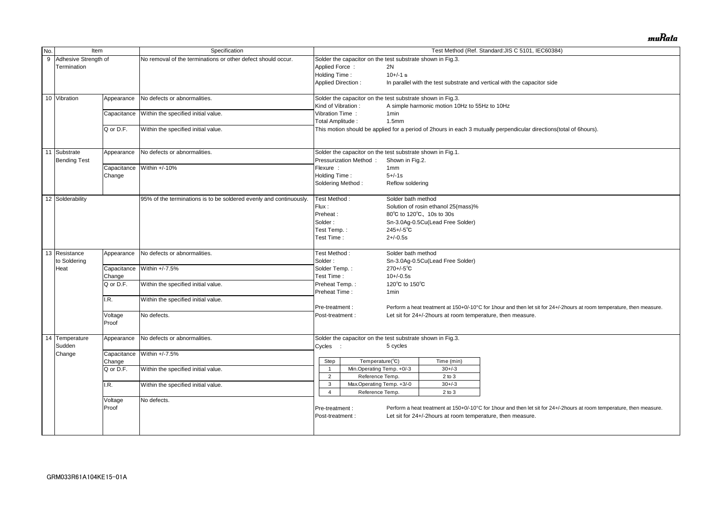| No.             | Item                 |                                             | Specification                                                      |                            |                                                                                                       |                    |                                                            | Test Method (Ref. Standard: JIS C 5101, IEC60384)                                                                     |  |  |  |
|-----------------|----------------------|---------------------------------------------|--------------------------------------------------------------------|----------------------------|-------------------------------------------------------------------------------------------------------|--------------------|------------------------------------------------------------|-----------------------------------------------------------------------------------------------------------------------|--|--|--|
| 9               | Adhesive Strength of |                                             | No removal of the terminations or other defect should occur.       |                            | Solder the capacitor on the test substrate shown in Fig.3.                                            |                    |                                                            |                                                                                                                       |  |  |  |
|                 | Termination          |                                             |                                                                    | Applied Force:             |                                                                                                       | 2N                 |                                                            |                                                                                                                       |  |  |  |
|                 |                      |                                             |                                                                    | Holding Time:              |                                                                                                       | $10+/-1$ s         |                                                            |                                                                                                                       |  |  |  |
|                 |                      |                                             |                                                                    |                            | <b>Applied Direction:</b><br>In parallel with the test substrate and vertical with the capacitor side |                    |                                                            |                                                                                                                       |  |  |  |
|                 |                      |                                             |                                                                    |                            |                                                                                                       |                    |                                                            |                                                                                                                       |  |  |  |
| 10 Vibration    |                      | Appearance                                  | No defects or abnormalities.                                       |                            | Solder the capacitor on the test substrate shown in Fig.3.                                            |                    |                                                            |                                                                                                                       |  |  |  |
|                 |                      |                                             |                                                                    | Kind of Vibration:         |                                                                                                       |                    | A simple harmonic motion 10Hz to 55Hz to 10Hz              |                                                                                                                       |  |  |  |
|                 |                      | Capacitance                                 | Within the specified initial value.                                | Vibration Time:            |                                                                                                       | 1 <sub>min</sub>   |                                                            |                                                                                                                       |  |  |  |
|                 |                      |                                             |                                                                    | Total Amplitude:           |                                                                                                       | 1.5mm              |                                                            |                                                                                                                       |  |  |  |
|                 |                      | Q or D.F.                                   | Within the specified initial value.                                |                            |                                                                                                       |                    |                                                            | This motion should be applied for a period of 2hours in each 3 mutually perpendicular directions(total of 6hours).    |  |  |  |
|                 |                      |                                             |                                                                    |                            |                                                                                                       |                    |                                                            |                                                                                                                       |  |  |  |
| 11<br>Substrate |                      | Appearance                                  | No defects or abnormalities.                                       |                            | Solder the capacitor on the test substrate shown in Fig.1.                                            |                    |                                                            |                                                                                                                       |  |  |  |
|                 | <b>Bending Test</b>  |                                             |                                                                    |                            | Pressurization Method:                                                                                | Shown in Fig.2.    |                                                            |                                                                                                                       |  |  |  |
|                 |                      | Capacitance                                 | Within +/-10%                                                      |                            |                                                                                                       | 1mm                |                                                            |                                                                                                                       |  |  |  |
|                 |                      |                                             |                                                                    | Flexure :<br>Holding Time: |                                                                                                       | $5 + (-1s)$        |                                                            |                                                                                                                       |  |  |  |
|                 |                      | Change                                      |                                                                    |                            |                                                                                                       |                    |                                                            |                                                                                                                       |  |  |  |
|                 |                      |                                             |                                                                    |                            | Soldering Method:                                                                                     | Reflow soldering   |                                                            |                                                                                                                       |  |  |  |
|                 | 12 Solderability     |                                             | 95% of the terminations is to be soldered evenly and continuously. |                            | Test Method:                                                                                          | Solder bath method |                                                            |                                                                                                                       |  |  |  |
|                 |                      |                                             |                                                                    |                            |                                                                                                       |                    | Solution of rosin ethanol 25(mass)%                        |                                                                                                                       |  |  |  |
|                 |                      |                                             |                                                                    | Preheat:                   |                                                                                                       |                    | 80°C to 120°C, 10s to 30s                                  |                                                                                                                       |  |  |  |
|                 |                      |                                             |                                                                    | Solder:                    |                                                                                                       |                    | Sn-3.0Ag-0.5Cu(Lead Free Solder)                           |                                                                                                                       |  |  |  |
|                 |                      |                                             |                                                                    | Test Temp.:                |                                                                                                       | $245 + (-5)$ °C    |                                                            |                                                                                                                       |  |  |  |
|                 |                      |                                             |                                                                    | Test Time:                 |                                                                                                       | $2 + (-0.5s)$      |                                                            |                                                                                                                       |  |  |  |
|                 |                      |                                             |                                                                    |                            |                                                                                                       |                    |                                                            |                                                                                                                       |  |  |  |
| 13 Resistance   |                      | Appearance                                  | No defects or abnormalities.                                       |                            | Test Method:                                                                                          | Solder bath method |                                                            |                                                                                                                       |  |  |  |
|                 | to Soldering         |                                             |                                                                    | Solder:                    |                                                                                                       |                    | Sn-3.0Ag-0.5Cu(Lead Free Solder)                           |                                                                                                                       |  |  |  |
| Heat            |                      | Capacitance                                 | Within +/-7.5%                                                     | Solder Temp.:              |                                                                                                       | $270 + (-5)$ °C    |                                                            |                                                                                                                       |  |  |  |
|                 |                      |                                             |                                                                    |                            |                                                                                                       | $10+/-0.5s$        |                                                            |                                                                                                                       |  |  |  |
|                 |                      | Change                                      |                                                                    |                            | Test Time:                                                                                            |                    |                                                            |                                                                                                                       |  |  |  |
|                 |                      | Q or D.F.                                   | Within the specified initial value.                                | Preheat Temp.:             |                                                                                                       | 120°C to 150°C     |                                                            |                                                                                                                       |  |  |  |
|                 |                      |                                             |                                                                    | Preheat Time:              |                                                                                                       | 1 <sub>min</sub>   |                                                            |                                                                                                                       |  |  |  |
|                 |                      | I.R.<br>Within the specified initial value. |                                                                    |                            |                                                                                                       |                    |                                                            |                                                                                                                       |  |  |  |
|                 |                      |                                             |                                                                    | Pre-treatment :            |                                                                                                       |                    |                                                            | Perform a heat treatment at 150+0/-10°C for 1hour and then let sit for 24+/-2hours at room temperature, then measure. |  |  |  |
|                 |                      | Voltage                                     | No defects.                                                        | Post-treatment :           |                                                                                                       |                    | Let sit for 24+/-2hours at room temperature, then measure. |                                                                                                                       |  |  |  |
|                 |                      | Proof                                       |                                                                    |                            |                                                                                                       |                    |                                                            |                                                                                                                       |  |  |  |
|                 |                      |                                             |                                                                    |                            |                                                                                                       |                    |                                                            |                                                                                                                       |  |  |  |
| 14              | Temperature          | Appearance                                  | No defects or abnormalities.                                       |                            | Solder the capacitor on the test substrate shown in Fig.3.                                            |                    |                                                            |                                                                                                                       |  |  |  |
| Sudden          |                      |                                             |                                                                    | Cycles :                   |                                                                                                       | 5 cycles           |                                                            |                                                                                                                       |  |  |  |
| Change          |                      |                                             | Capacitance Within +/-7.5%                                         |                            |                                                                                                       |                    |                                                            |                                                                                                                       |  |  |  |
|                 |                      | Change                                      |                                                                    | Step                       | Temperature(°C)                                                                                       |                    | Time (min)                                                 |                                                                                                                       |  |  |  |
|                 |                      | Q or D.F.                                   | Within the specified initial value.                                |                            | Min.Operating Temp. +0/-3                                                                             |                    | $30 + / -3$                                                |                                                                                                                       |  |  |  |
|                 |                      |                                             |                                                                    | $\overline{2}$             | Reference Temp.                                                                                       |                    | $2$ to $3$                                                 |                                                                                                                       |  |  |  |
|                 |                      | I.R.                                        | Within the specified initial value.                                | 3                          | Max Operating Temp. +3/-0                                                                             |                    | $30 + -3$                                                  |                                                                                                                       |  |  |  |
|                 |                      |                                             |                                                                    | 4                          | Reference Temp.                                                                                       |                    | $2$ to $3$                                                 |                                                                                                                       |  |  |  |
|                 |                      | Voltage                                     | No defects.                                                        |                            |                                                                                                       |                    |                                                            |                                                                                                                       |  |  |  |
|                 |                      | Proof                                       |                                                                    | Pre-treatment :            |                                                                                                       |                    |                                                            | Perform a heat treatment at 150+0/-10°C for 1hour and then let sit for 24+/-2hours at room temperature, then measure. |  |  |  |
|                 |                      |                                             |                                                                    |                            |                                                                                                       |                    |                                                            |                                                                                                                       |  |  |  |
|                 |                      |                                             |                                                                    | Post-treatment :           |                                                                                                       |                    | Let sit for 24+/-2hours at room temperature, then measure. |                                                                                                                       |  |  |  |
|                 |                      |                                             |                                                                    |                            |                                                                                                       |                    |                                                            |                                                                                                                       |  |  |  |
|                 |                      |                                             |                                                                    |                            |                                                                                                       |                    |                                                            |                                                                                                                       |  |  |  |

muRata

| al of 6hours).                          |
|-----------------------------------------|
|                                         |
|                                         |
|                                         |
|                                         |
|                                         |
|                                         |
|                                         |
|                                         |
|                                         |
|                                         |
|                                         |
|                                         |
|                                         |
|                                         |
|                                         |
|                                         |
|                                         |
|                                         |
|                                         |
|                                         |
|                                         |
|                                         |
| ours at room temperature, then measure. |
|                                         |
|                                         |
|                                         |
|                                         |
|                                         |
|                                         |
|                                         |
|                                         |
|                                         |
|                                         |
|                                         |
|                                         |
| ours at room temperature, then measure. |
|                                         |
|                                         |
|                                         |
|                                         |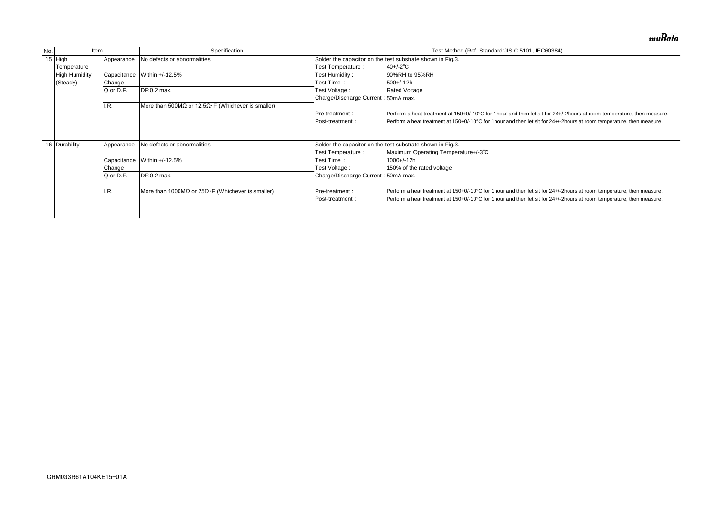| No. | Item                 |             | Specification                                             |                                                            | Test Method (Ref. Standard: JIS C 5101, IEC60384)                              |  |  |  |
|-----|----------------------|-------------|-----------------------------------------------------------|------------------------------------------------------------|--------------------------------------------------------------------------------|--|--|--|
|     | 15 High              | Appearance  | No defects or abnormalities.                              |                                                            | Solder the capacitor on the test substrate shown in Fig.3.                     |  |  |  |
|     | Temperature          |             |                                                           | Test Temperature :                                         | $40 + (-2)^\circ \text{C}$                                                     |  |  |  |
|     | <b>High Humidity</b> | Capacitance | Within +/-12.5%                                           | Test Humidity:                                             | 90%RH to 95%RH                                                                 |  |  |  |
|     | (Steady)             | Change      |                                                           | Test Time :                                                | $500+/-12h$                                                                    |  |  |  |
|     |                      | Q or D.F.   | DF:0.2 max.                                               | Test Voltage :                                             | <b>Rated Voltage</b>                                                           |  |  |  |
|     |                      |             |                                                           | Charge/Discharge Current: 50mA max.                        |                                                                                |  |  |  |
|     |                      | I.R.        | More than 500MΩ or 12.5Ω $\cdot$ F (Whichever is smaller) |                                                            |                                                                                |  |  |  |
|     |                      |             |                                                           | Pre-treatment :                                            | Perform a heat treatment at 150+0/-10°C for 1 hour and then let sit for 24+/-  |  |  |  |
|     |                      |             |                                                           | Post-treatment :                                           | Perform a heat treatment at 150+0/-10°C for 1 hour and then let sit for 24+/-2 |  |  |  |
|     |                      |             |                                                           |                                                            |                                                                                |  |  |  |
|     |                      |             |                                                           |                                                            |                                                                                |  |  |  |
|     | 16 Durability        | Appearance  | No defects or abnormalities.                              | Solder the capacitor on the test substrate shown in Fig.3. |                                                                                |  |  |  |
|     |                      |             |                                                           | Test Temperature :                                         | Maximum Operating Temperature+/-3°C                                            |  |  |  |
|     |                      | Capacitance | Within +/-12.5%                                           | Test Time:                                                 | $1000 + (-12h)$                                                                |  |  |  |
|     |                      | Change      |                                                           | Test Voltage :                                             | 150% of the rated voltage                                                      |  |  |  |
|     |                      | Q or D.F.   | DF:0.2 max.                                               | Charge/Discharge Current: 50mA max.                        |                                                                                |  |  |  |
|     |                      |             |                                                           |                                                            |                                                                                |  |  |  |
|     |                      | I.R.        | More than 1000MΩ or $25Ω·F$ (Whichever is smaller)        | Pre-treatment :                                            | Perform a heat treatment at 150+0/-10°C for 1 hour and then let sit for 24+/-2 |  |  |  |
|     |                      |             |                                                           | Post-treatment:                                            | Perform a heat treatment at 150+0/-10°C for 1 hour and then let sit for 24+/-2 |  |  |  |
|     |                      |             |                                                           |                                                            |                                                                                |  |  |  |
|     |                      |             |                                                           |                                                            |                                                                                |  |  |  |

muRata

/-2hours at room temperature, then measure. Phours at room temperature, then measure.

Phours at room temperature, then measure. Phours at room temperature, then measure.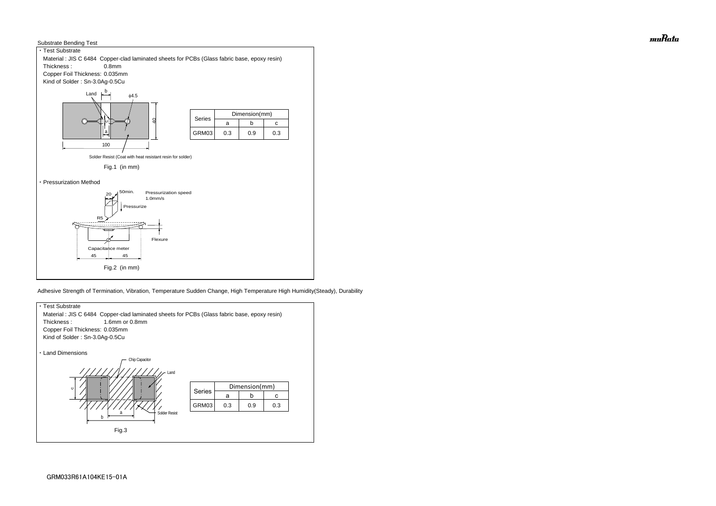



Adhesive Strength of Termination, Vibration, Temperature Sudden Change, High Temperature High Humidity(Steady), Durability



muRata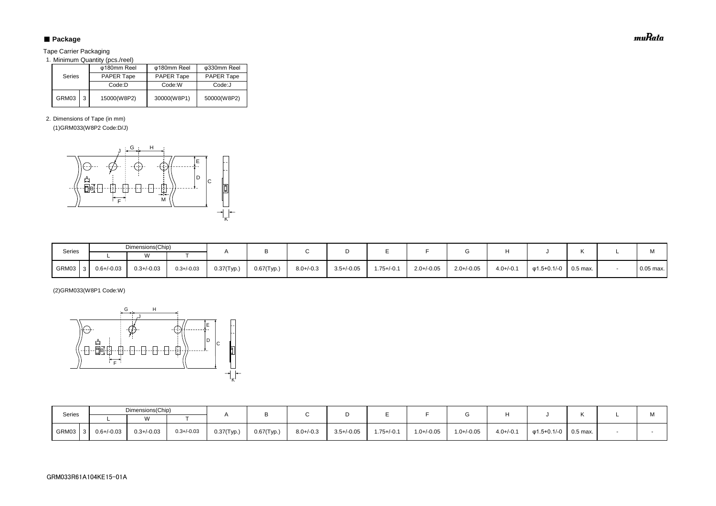# ■ Package

Tape Carrier Packaging

1. Minimum Quantity (pcs./reel)

2. Dimensions of Tape (in mm)

(1)GRM033(W8P2 Code:D/J)

(2)GRM033(W8P1 Code:W)

| <b>Series</b> |   | φ180mm Reel       | φ180mm Reel       | φ330mm Reel       |  |  |
|---------------|---|-------------------|-------------------|-------------------|--|--|
|               |   | <b>PAPER Tape</b> | <b>PAPER Tape</b> | <b>PAPER Tape</b> |  |  |
|               |   | Code:D            | Code:W            | Code:J            |  |  |
| GRM03         | 3 | 15000(W8P2)       | 30000(W8P1)       | 50000(W8P2)       |  |  |

| Series        |                 | Dimensions(Chip) |                 |               |               |                |                 |                 |                 |                 |                |             |          | $\mathbf{A}$ |
|---------------|-----------------|------------------|-----------------|---------------|---------------|----------------|-----------------|-----------------|-----------------|-----------------|----------------|-------------|----------|--------------|
|               |                 |                  |                 |               |               |                |                 |                 |                 |                 |                |             |          | IVI.         |
| GRM03<br>-3 I | $0.6 + (-0.03)$ | $0.3 + (-0.03)$  | $0.3 + / -0.03$ | $0.37$ (Typ.) | $0.67$ (Typ.) | $8.0 + (-0.3)$ | $3.5 + / -0.05$ | $1.75 + (-0.1)$ | $1.0 + / -0.05$ | $1.0 + (-0.05)$ | $4.0 + (-0.1)$ | φ1.5+0.1/-0 | 0.5 max. |              |

| Series | Dimensions(Chip) |                 |                 |               |            |                |                 |                |                 |                 |                |                   |          | M           |
|--------|------------------|-----------------|-----------------|---------------|------------|----------------|-----------------|----------------|-----------------|-----------------|----------------|-------------------|----------|-------------|
|        |                  |                 |                 |               |            |                |                 |                |                 |                 |                |                   |          |             |
| GRM03  | $0.6 + (-0.03)$  | $0.3 + (-0.03)$ | $0.3 + (-0.03)$ | $0.37$ (Typ.) | 0.67(Typ.) | $8.0 + (-0.3)$ | $3.5 + / -0.05$ | $1.75 + (-0.1$ | $2.0 + / -0.05$ | $2.0 + / -0.05$ | $4.0 + (-0.1)$ | $\phi$ 1.5+0.1/-0 | 0.5 max. | $0.05$ max. |



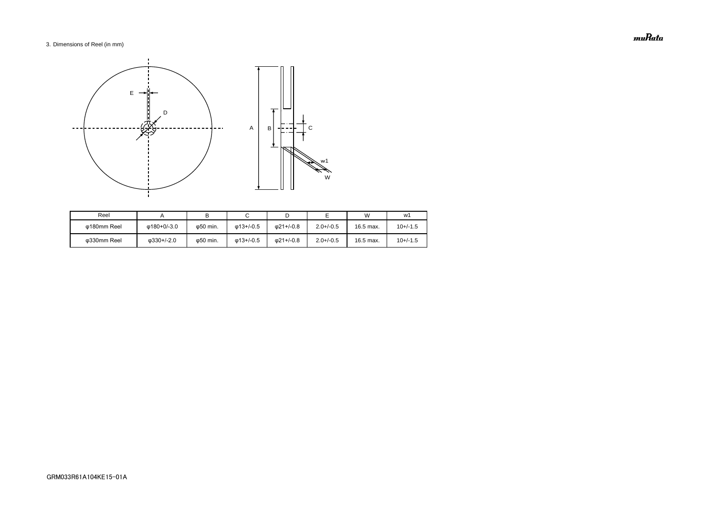### 3. Dimensions of Reel (in mm)

| Reel        |                    |                   |                   |                   |                | W         | w1         |
|-------------|--------------------|-------------------|-------------------|-------------------|----------------|-----------|------------|
| Φ180mm Reel | ω180+0/-3.0        | ω50 min.          | $\omega$ 13+/-0.5 | $\omega$ 21+/-0.8 | $2.0 + (-0.5)$ | 16.5 max. | $10+/-1.5$ |
| ω330mm Reel | $\omega$ 330+/-2.0 | $\varphi$ 50 min. | $\omega$ 13+/-0.5 | $\omega$ 21+/-0.8 | $2.0 + (-0.5)$ | 16.5 max. | $10+/-1.5$ |



muRata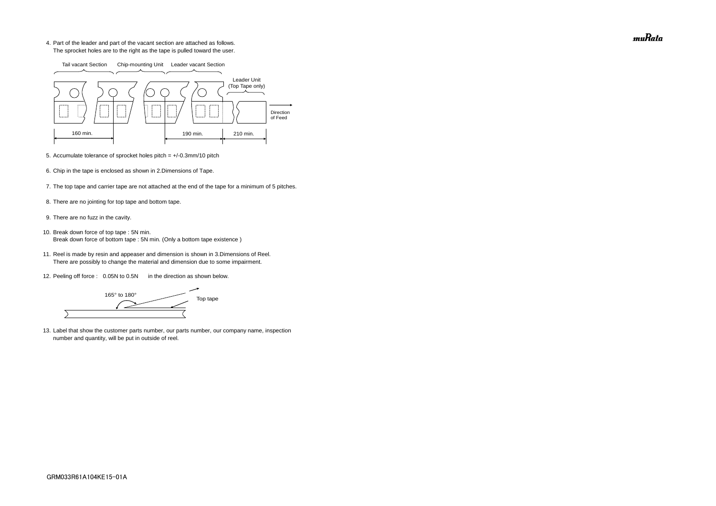4. Part of the leader and part of the vacant section are attached as follows. The sprocket holes are to the right as the tape is pulled toward the user.

- 5. Accumulate tolerance of sprocket holes pitch = +/-0.3mm/10 pitch
- 6. Chip in the tape is enclosed as shown in 2.Dimensions of Tape.
- 7. The top tape and carrier tape are not attached at the end of the tape for a minimum of 5 pitches.
- 8. There are no jointing for top tape and bottom tape.
- 9. There are no fuzz in the cavity.
- 10. Break down force of top tape : 5N min. Break down force of bottom tape : 5N min. (Only a bottom tape existence)
	- 11. Reel is made by resin and appeaser and dimension is shown in 3.Dimensions of Reel. There are possibly to change the material and dimension due to some impairment.
	- 12. Peeling off force : 0.05N to 0.5N in the direction as shown below.

165° to 180° Top tape  $\overline{\phantom{0}}$ 

13. Label that show the customer parts number, our parts number, our company name, inspection number and quantity, will be put in outside of reel.



muRata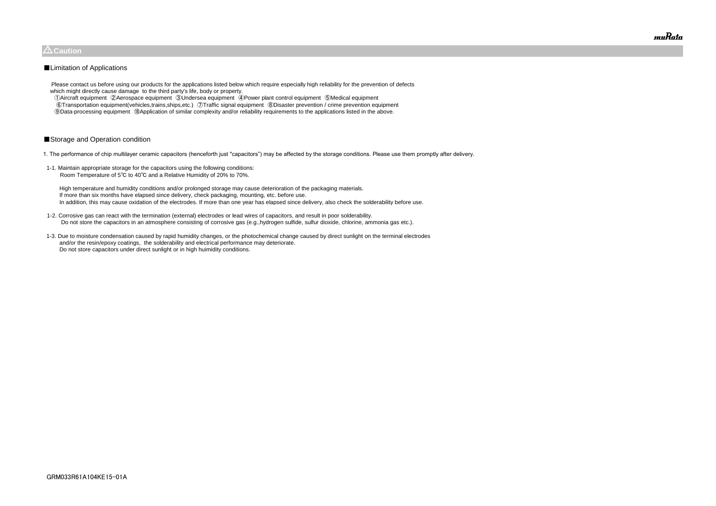Please contact us before using our products for the applications listed below which require especially high reliability for the prevention of defects which might directly cause damage to the third party's life, body or property.

 ①Aircraft equipment ②Aerospace equipment ③Undersea equipment ④Power plant control equipment ⑤Medical equipment ⑥Transportation equipment(vehicles,trains,ships,etc.) ⑦Traffic signal equipment ⑧Disaster prevention / crime prevention equipment ⑨Data-processing equipment ⑩Application of similar complexity and/or reliability requirements to the applications listed in the above.

### ■Storage and Operation condition

1. The performance of chip multilayer ceramic capacitors (henceforth just "capacitors") may be affected by the storage conditions. Please use them promptly after delivery.

1-1. Maintain appropriate storage for the capacitors using the following conditions: Room Temperature of 5℃ to 40℃ and a Relative Humidity of 20% to 70%.

 High temperature and humidity conditions and/or prolonged storage may cause deterioration of the packaging materials. If more than six months have elapsed since delivery, check packaging, mounting, etc. before use. In addition, this may cause oxidation of the electrodes. If more than one year has elapsed since delivery, also check the solderability before use.

- 1-2. Corrosive gas can react with the termination (external) electrodes or lead wires of capacitors, and result in poor solderability. Do not store the capacitors in an atmosphere consisting of corrosive gas (e.g.,hydrogen sulfide, sulfur dioxide, chlorine, ammonia gas etc.).
- 1-3. Due to moisture condensation caused by rapid humidity changes, or the photochemical change caused by direct sunlight on the terminal electrodes and/or the resin/epoxy coatings, the solderability and electrical performance may deteriorate. Do not store capacitors under direct sunlight or in high huimidity conditions.



### $\triangle$ Caution

### ■Limitation of Applications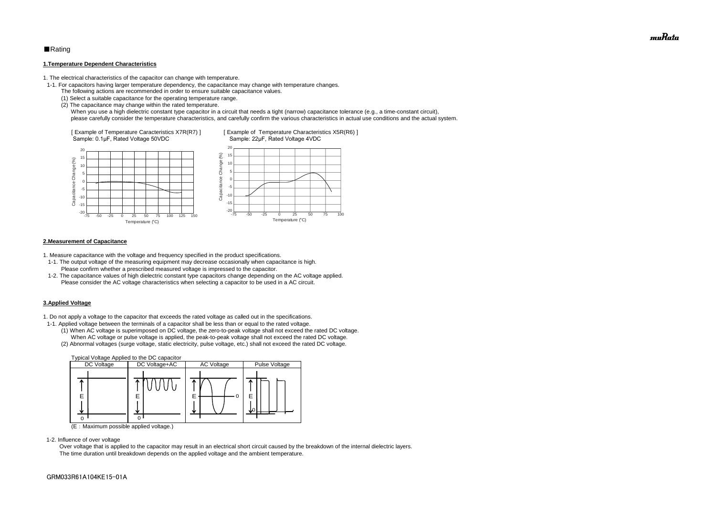### ■Rating

#### **1.Temperature Dependent Characteristics**

1. The electrical characteristics of the capacitor can change with temperature.

- 1-1. For capacitors having larger temperature dependency, the capacitance may change with temperature changes.
	- The following actions are recommended in order to ensure suitable capacitance values.
	- (1) Select a suitable capacitance for the operating temperature range.
	- (2) The capacitance may change within the rated temperature.

When you use a high dielectric constant type capacitor in a circuit that needs a tight (narrow) capacitance tolerance (e.g., a time-constant circuit), please carefully consider the temperature characteristics, and carefully confirm the various characteristics in actual use conditions and the actual system.

#### **2.Measurement of Capacitance**

1. Measure capacitance with the voltage and frequency specified in the product specifications.

- 1-1. The output voltage of the measuring equipment may decrease occasionally when capacitance is high. Please confirm whether a prescribed measured voltage is impressed to the capacitor.
- 1-2. The capacitance values of high dielectric constant type capacitors change depending on the AC voltage applied. Please consider the AC voltage characteristics when selecting a capacitor to be used in a AC circuit.

### **3.Applied Voltage**

1. Do not apply a voltage to the capacitor that exceeds the rated voltage as called out in the specifications.



- 1-1. Applied voltage between the terminals of a capacitor shall be less than or equal to the rated voltage.
	- (1) When AC voltage is superimposed on DC voltage, the zero-to-peak voltage shall not exceed the rated DC voltage. When AC voltage or pulse voltage is applied, the peak-to-peak voltage shall not exceed the rated DC voltage.
	- (2) Abnormal voltages (surge voltage, static electricity, pulse voltage, etc.) shall not exceed the rated DC voltage.



(E:Maximum possible applied voltage.)

1-2. Influence of over voltage

 Over voltage that is applied to the capacitor may result in an electrical short circuit caused by the breakdown of the internal dielectric layers. The time duration until breakdown depends on the applied voltage and the ambient temperature.

muRata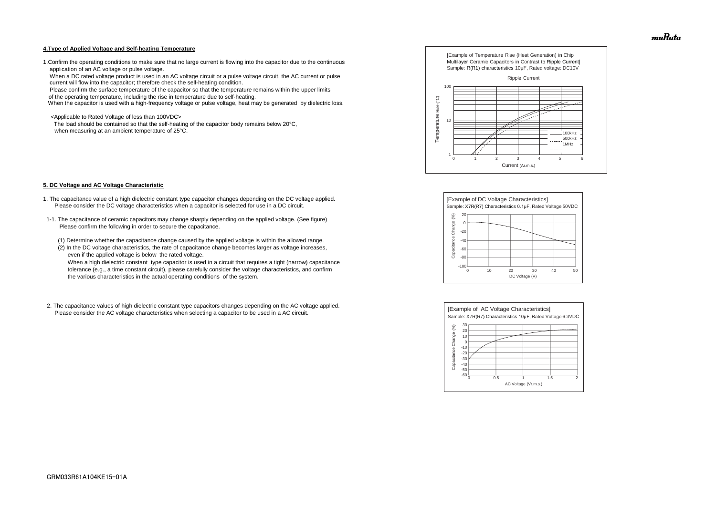#### **4.Type of Applied Voltage and Self-heating Temperature**

1.Confirm the operating conditions to make sure that no large current is flowing into the capacitor due to the continuous application of an AC voltage or pulse voltage.

 When a DC rated voltage product is used in an AC voltage circuit or a pulse voltage circuit, the AC current or pulse current will flow into the capacitor; therefore check the self-heating condition.

Please confirm the surface temperature of the capacitor so that the temperature remains within the upper limits

of the operating temperature, including the rise in temperature due to self-heating.

When the capacitor is used with a high-frequency voltage or pulse voltage, heat may be generated by dielectric loss.

<Applicable to Rated Voltage of less than 100VDC>

 The load should be contained so that the self-heating of the capacitor body remains below 20°C, when measuring at an ambient temperature of 25°C.

#### **5. DC Voltage and AC Voltage Characteristic**

- 1. The capacitance value of a high dielectric constant type capacitor changes depending on the DC voltage applied. Please consider the DC voltage characteristics when a capacitor is selected for use in a DC circuit.
- 1-1. The capacitance of ceramic capacitors may change sharply depending on the applied voltage. (See figure) Please confirm the following in order to secure the capacitance.
	- (1) Determine whether the capacitance change caused by the applied voltage is within the allowed range.
	- (2) In the DC voltage characteristics, the rate of capacitance change becomes larger as voltage increases, even if the applied voltage is below the rated voltage.

 When a high dielectric constant type capacitor is used in a circuit that requires a tight (narrow) capacitance tolerance (e.g., a time constant circuit), please carefully consider the voltage characteristics, and confirm the various characteristics in the actual operating conditions of the system.

2. The capacitance values of high dielectric constant type capacitors changes depending on the AC voltage applied. Please consider the AC voltage characteristics when selecting a capacitor to be used in a AC circuit.









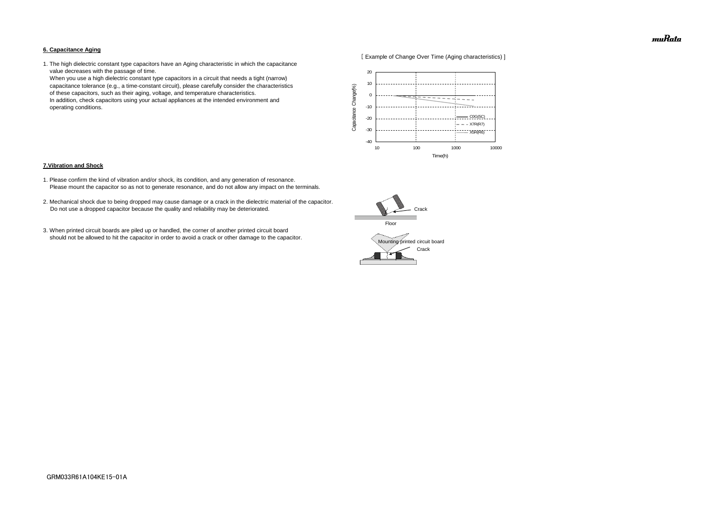#### **6. Capacitance Aging**



1. The high dielectric constant type capacitors have an Aging characteristic in which the capacitance value decreases with the passage of time.

 When you use a high dielectric constant type capacitors in a circuit that needs a tight (narrow) capacitance tolerance (e.g., a time-constant circuit), please carefully consider the characteristics of these capacitors, such as their aging, voltage, and temperature characteristics. In addition, check capacitors using your actual appliances at the intended environment and operating conditions.

#### **7.Vibration and Shock**

- 1. Please confirm the kind of vibration and/or shock, its condition, and any generation of resonance. Please mount the capacitor so as not to generate resonance, and do not allow any impact on the terminals.
- 2. Mechanical shock due to being dropped may cause damage or a crack in the dielectric material of the capacitor. Do not use a dropped capacitor because the quality and reliability may be deteriorated.
- 3. When printed circuit boards are piled up or handled, the corner of another printed circuit board should not be allowed to hit the capacitor in order to avoid a crack or other damage to the capacitor.





muRata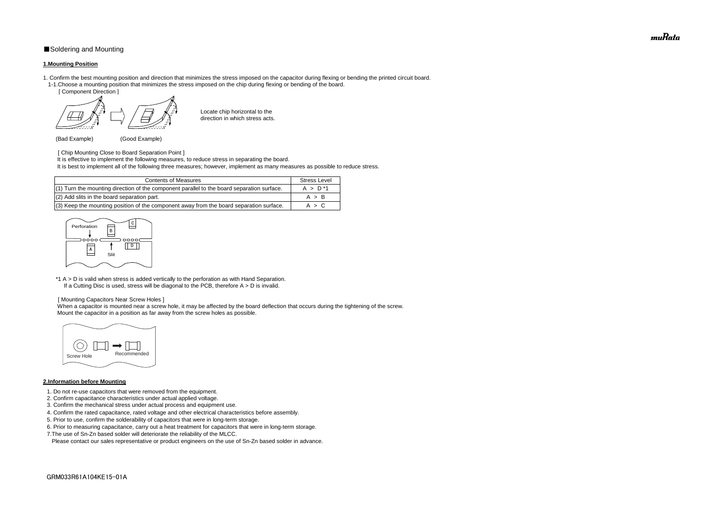### ■Soldering and Mounting

### **1.Mounting Position**

- 1. Confirm the best mounting position and direction that minimizes the stress imposed on the capacitor during flexing or bending the printed circuit board. 1-1.Choose a mounting position that minimizes the stress imposed on the chip during flexing or bending of the board.
	- [ Component Direction ]

Locate chip horizontal to the direction in which stress acts.

(Bad Example) (Good Example)

[ Chip Mounting Close to Board Separation Point ]

\*1 A > D is valid when stress is added vertically to the perforation as with Hand Separation. If a Cutting Disc is used, stress will be diagonal to the PCB, therefore  $A > D$  is invalid.

It is effective to implement the following measures, to reduce stress in separating the board.

It is best to implement all of the following three measures; however, implement as many measures as possible to reduce stress.

When a capacitor is mounted near a screw hole, it may be affected by the board deflection that occurs during the tightening of the screw. Mount the capacitor in a position as far away from the screw holes as possible.

#### [ Mounting Capacitors Near Screw Holes ]

### **2.Information before Mounting**

| <b>Contents of Measures</b>                                                                  | <b>Stress Level</b> |
|----------------------------------------------------------------------------------------------|---------------------|
| $(1)$ Turn the mounting direction of the component parallel to the board separation surface. | $A > D^*1$          |
| (2) Add slits in the board separation part.                                                  | A > B               |
| $(3)$ Keep the mounting position of the component away from the board separation surface.    | A > C               |

- 1. Do not re-use capacitors that were removed from the equipment.
- 2. Confirm capacitance characteristics under actual applied voltage.
- 3. Confirm the mechanical stress under actual process and equipment use.
- 4. Confirm the rated capacitance, rated voltage and other electrical characteristics before assembly.
- 5. Prior to use, confirm the solderability of capacitors that were in long-term storage.
- 6. Prior to measuring capacitance, carry out a heat treatment for capacitors that were in long-term storage.
- 7.The use of Sn-Zn based solder will deteriorate the reliability of the MLCC.

Please contact our sales representative or product engineers on the use of Sn-Zn based solder in advance.





muRata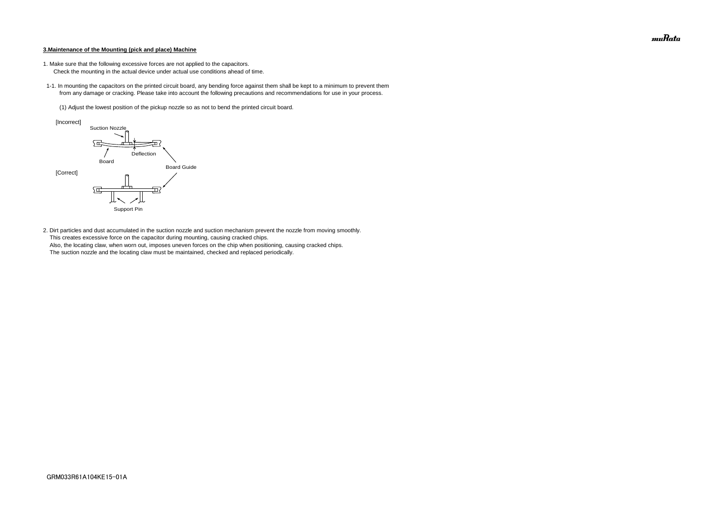#### **3.Maintenance of the Mounting (pick and place) Machine**

- 1. Make sure that the following excessive forces are not applied to the capacitors.
	- Check the mounting in the actual device under actual use conditions ahead of time.
- 1-1. In mounting the capacitors on the printed circuit board, any bending force against them shall be kept to a minimum to prevent them from any damage or cracking. Please take into account the following precautions and recommendations for use in your process.
	- (1) Adjust the lowest position of the pickup nozzle so as not to bend the printed circuit board.

2. Dirt particles and dust accumulated in the suction nozzle and suction mechanism prevent the nozzle from moving smoothly. This creates excessive force on the capacitor during mounting, causing cracked chips. Also, the locating claw, when worn out, imposes uneven forces on the chip when positioning, causing cracked chips. The suction nozzle and the locating claw must be maintained, checked and replaced periodically.



muRata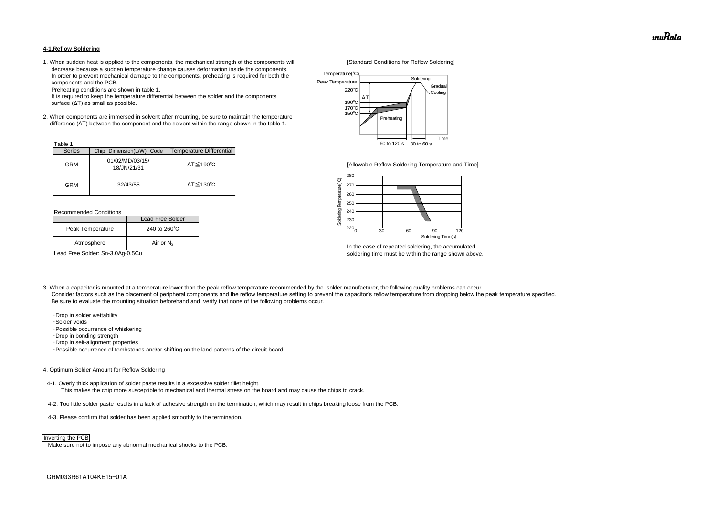#### **4-1.Reflow Soldering**

1. When sudden heat is applied to the components, the mechanical strength of the components will [Standard Conditions for Reflow Soldering] decrease because a sudden temperature change causes deformation inside the components. In order to prevent mechanical damage to the components, preheating is required for both the components and the PCB.

Preheating conditions are shown in table 1.

 It is required to keep the temperature differential between the solder and the components surface (ΔT) as small as possible.

2. When components are immersed in solvent after mounting, be sure to maintain the temperature difference (ΔT) between the component and the solvent within the range shown in the table 1.

#### Recommended Conditions

3. When a capacitor is mounted at a temperature lower than the peak reflow temperature recommended by the solder manufacturer, the following quality problems can occur. Consider factors such as the placement of peripheral components and the reflow temperature setting to prevent the capacitor's reflow temperature from dropping below the peak temperature specified. Be sure to evaluate the mounting situation beforehand and verify that none of the following problems occur.



In the case of repeated soldering, the accumulated Lead Free Solder: Sn-3.0Ag-0.5Cu soldering time must be within the range shown above.

 ・Drop in solder wettability ・Solder voids ・Possible occurrence of whiskering ・Drop in bonding strength ・Drop in self-alignment properties ・Possible occurrence of tombstones and/or shifting on the land patterns of the circuit board

| Table 1       |                                |                              |
|---------------|--------------------------------|------------------------------|
| <b>Series</b> | Chip Dimension(L/W) Code       | Temperature Differential     |
| <b>GRM</b>    | 01/02/MD/03/15/<br>18/JN/21/31 | $\Delta T \leq 190^{\circ}C$ |
| GRM           | 32/43/55                       | $\Delta T \leq 130^{\circ}C$ |

#### 4. Optimum Solder Amount for Reflow Soldering

4-1. Overly thick application of solder paste results in a excessive solder fillet height. This makes the chip more susceptible to mechanical and thermal stress on the board and may cause the chips to crack.

- 4-2. Too little solder paste results in a lack of adhesive strength on the termination, which may result in chips breaking loose from the PCB.
- 4-3. Please confirm that solder has been applied smoothly to the termination.

Make sure not to impose any abnormal mechanical shocks to the PCB.

|                  | Lead Free Solder       |  |
|------------------|------------------------|--|
| Peak Temperature | 240 to $260^{\circ}$ C |  |
| Atmosphere       | Air or $N_2$           |  |



#### Inverting the PCB



[Allowable Reflow Soldering Temperature and Time]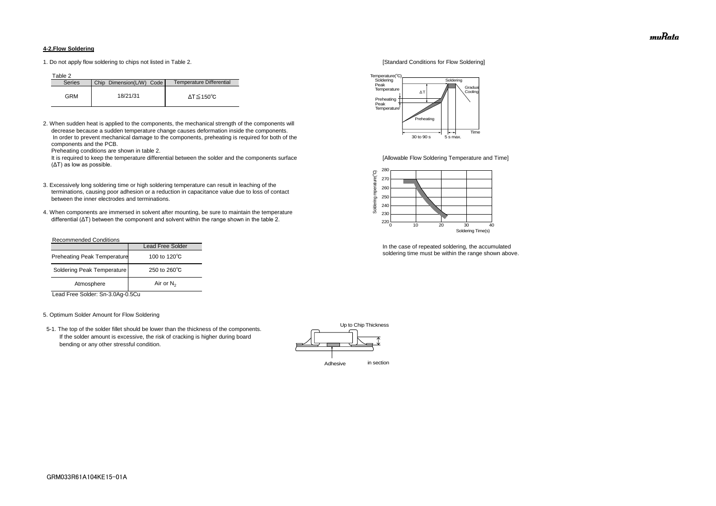### **4-2.Flow Soldering**

1. Do not apply flow soldering to chips not listed in Table 2. [Standard Conditions for Flow Soldering]

Table 2

2. When sudden heat is applied to the components, the mechanical strength of the components will decrease because a sudden temperature change causes deformation inside the components. In order to prevent mechanical damage to the components, preheating is required for both of the components and the PCB.

It is required to keep the temperature differential between the solder and the components surface [Allowable Flow Soldering Temperature and Time] (ΔT) as low as possible.

Preheating conditions are shown in table 2.

- 3. Excessively long soldering time or high soldering temperature can result in leaching of the terminations, causing poor adhesion or a reduction in capacitance value due to loss of contact between the inner electrodes and terminations.
- 4. When components are immersed in solvent after mounting, be sure to maintain the temperature differential (ΔT) between the component and solvent within the range shown in the table 2.

| <b>Series</b> | Chip Dimension(L/W) Code | Temperature Differential |
|---------------|--------------------------|--------------------------|
| GRM           | 18/21/31                 | ΔT≦150℃                  |

#### Recommended Conditions

Lead Free Solder: Sn-3.0Ag-0.5Cu

#### 5. Optimum Solder Amount for Flow Soldering

 5-1. The top of the solder fillet should be lower than the thickness of the components. If the solder amount is excessive, the risk of cracking is higher during board bending or any other stressful condition.



In the case of repeated soldering, the accumulated soldering time must be within the range shown above.

|                                    | <b>Lead Free Solder</b> |  |
|------------------------------------|-------------------------|--|
| <b>Preheating Peak Temperature</b> | 100 to 120 $\degree$ C  |  |
| Soldering Peak Temperature         | 250 to $260^{\circ}$ C  |  |
| Atmosphere                         | Air or $N_2$            |  |





muRata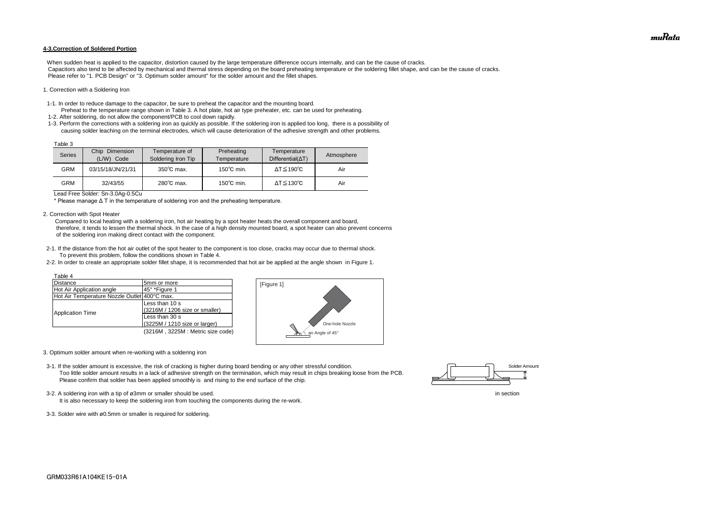#### **4-3.Correction of Soldered Portion**

When sudden heat is applied to the capacitor, distortion caused by the large temperature difference occurs internally, and can be the cause of cracks. Capacitors also tend to be affected by mechanical and thermal stress depending on the board preheating temperature or the soldering fillet shape, and can be the cause of cracks. Please refer to "1. PCB Design" or "3. Optimum solder amount" for the solder amount and the fillet shapes.

#### 1. Correction with a Soldering Iron

- 1-1. In order to reduce damage to the capacitor, be sure to preheat the capacitor and the mounting board.
- Preheat to the temperature range shown in Table 3. A hot plate, hot air type preheater, etc. can be used for preheating. 1-2. After soldering, do not allow the component/PCB to cool down rapidly.
- 1-3. Perform the corrections with a soldering iron as quickly as possible. If the soldering iron is applied too long, there is a possibility of causing solder leaching on the terminal electrodes, which will cause deterioration of the adhesive strength and other problems.

Lead Free Solder: Sn-3.0Ag-0.5Cu

\* Please manage Δ T in the temperature of soldering iron and the preheating temperature.

2. Correction with Spot Heater

 Compared to local heating with a soldering iron, hot air heating by a spot heater heats the overall component and board, therefore, it tends to lessen the thermal shock. In the case of a high density mounted board, a spot heater can also prevent concerns of the soldering iron making direct contact with the component.

- 3-2. A soldering iron with a tip of ø3mm or smaller should be used. In section
	- It is also necessary to keep the soldering iron from touching the components during the re-work.
- 3-3. Solder wire with ø0.5mm or smaller is required for soldering.
- 2-1. If the distance from the hot air outlet of the spot heater to the component is too close, cracks may occur due to thermal shock. To prevent this problem, follow the conditions shown in Table 4.
- 2-2. In order to create an appropriate solder fillet shape, it is recommended that hot air be applied at the angle shown in Figure 1.

| Table 3 |                                    |                                      |                           |                                         |            |
|---------|------------------------------------|--------------------------------------|---------------------------|-----------------------------------------|------------|
| Series  | Chip<br>Dimension<br>(L/W)<br>Code | Temperature of<br>Soldering Iron Tip | Preheating<br>Temperature | Temperature<br>$Differential(\Delta T)$ | Atmosphere |
| GRM     | 03/15/18/JN/21/31                  | $350^{\circ}$ C max.                 | $150^{\circ}$ C min.      | $\Delta T \leq 190^{\circ}C$            | Air        |
| GRM     | 32/43/55                           | $280^{\circ}$ C max.                 | $150^{\circ}$ C min.      | $\Delta T \leq 130^{\circ}C$            | Air        |

- 3. Optimum solder amount when re-working with a soldering iron
- 3-1. If the solder amount is excessive, the risk of cracking is higher during board bending or any other stressful condition. Too little solder amount results in a lack of adhesive strength on the termination, which may result in chips breaking loose from the PCB. Please confirm that solder has been applied smoothly is and rising to the end surface of the chip.

| Table 4                                      |                                  |
|----------------------------------------------|----------------------------------|
| <b>Distance</b>                              | 5mm or more                      |
| Hot Air Application angle                    | 45° *Figure 1                    |
| Hot Air Temperature Nozzle Outlet 400°C max. |                                  |
|                                              | Less than 10 s                   |
|                                              | (3216M / 1206 size or smaller)   |
| <b>Application Time</b>                      | Less than 30 s                   |
|                                              | (3225M / 1210 size or larger)    |
|                                              | (3216M, 3225M: Metric size code) |





muRata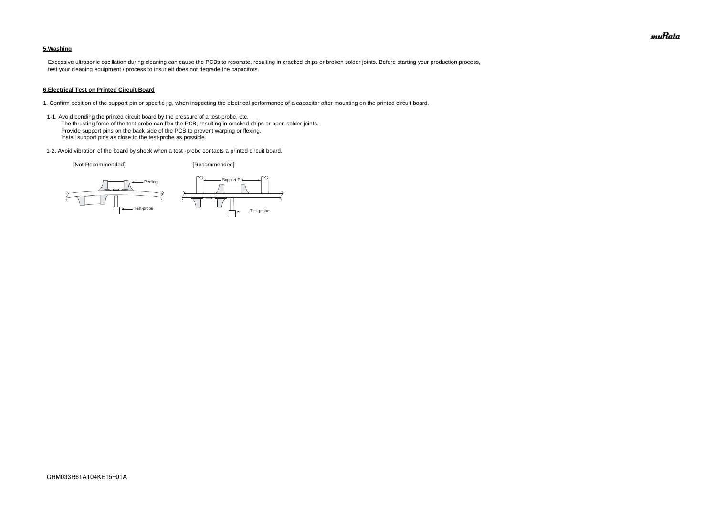### **5.Washing**

 Excessive ultrasonic oscillation during cleaning can cause the PCBs to resonate, resulting in cracked chips or broken solder joints. Before starting your production process, test your cleaning equipment / process to insur eit does not degrade the capacitors.

#### **6.Electrical Test on Printed Circuit Board**

- 1. Confirm position of the support pin or specific jig, when inspecting the electrical performance of a capacitor after mounting on the printed circuit board.
- 1-1. Avoid bending the printed circuit board by the pressure of a test-probe, etc. The thrusting force of the test probe can flex the PCB, resulting in cracked chips or open solder joints. Provide support pins on the back side of the PCB to prevent warping or flexing. Install support pins as close to the test-probe as possible.
- 1-2. Avoid vibration of the board by shock when a test -probe contacts a printed circuit board.

[Not Recommended] [Recommended]





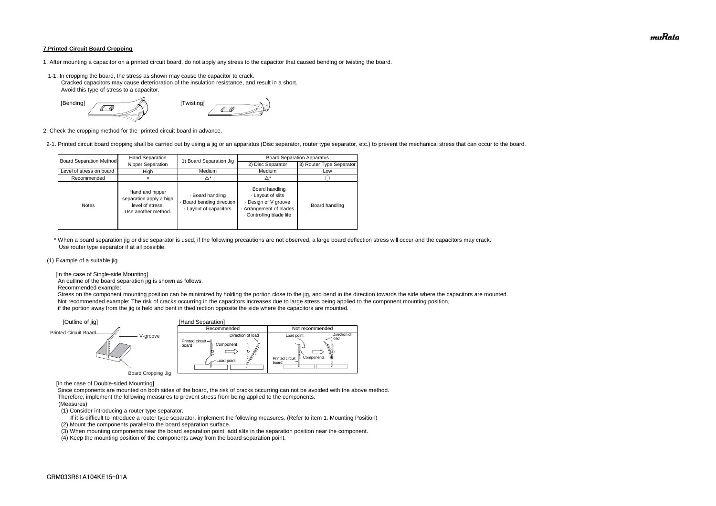#### **7.Printed Circuit Board Cropping**

- 1. After mounting a capacitor on a printed circuit board, do not apply any stress to the capacitor that caused bending or twisting the board.
- 1-1. In cropping the board, the stress as shown may cause the capacitor to crack. Cracked capacitors may cause deterioration of the insulation resistance, and result in a short. Avoid this type of stress to a capacitor.



2. Check the cropping method for the printed circuit board in advance.

2-1. Printed circuit board cropping shall be carried out by using a jig or an apparatus (Disc separator, router type separator, etc.) to prevent the mechanical stress that can occur to the board.

 \* When a board separation jig or disc separator is used, if the following precautions are not observed, a large board deflection stress will occur and the capacitors may crack. Use router type separator if at all possible.

#### (1) Example of a suitable jig

[In the case of Single-side Mounting]

An outline of the board separation jig is shown as follows.

Recommended example:

 Stress on the component mounting position can be minimized by holding the portion close to the jig, and bend in the direction towards the side where the capacitors are mounted. Not recommended example: The risk of cracks occurring in the capacitors increases due to large stress being applied to the component mounting position, if the portion away from the jig is held and bent in thedirection opposite the side where the capacitors are mounted.

[In the case of Double-sided Mounting]

 Since components are mounted on both sides of the board, the risk of cracks occurring can not be avoided with the above method. Therefore, implement the following measures to prevent stress from being applied to the components.

#### (Measures)

(1) Consider introducing a router type separator.

If it is difficult to introduce a router type separator, implement the following measures. (Refer to item 1. Mounting Position)

(2) Mount the components parallel to the board separation surface.

(3) When mounting components near the board separation point, add slits in the separation position near the component.



(4) Keep the mounting position of the components away from the board separation point.

| <b>Board Separation Method</b> | Hand Separation                                                                       | 1) Board Separation Jig                                             | <b>Board Separation Apparatus</b>                                                                              |                          |  |
|--------------------------------|---------------------------------------------------------------------------------------|---------------------------------------------------------------------|----------------------------------------------------------------------------------------------------------------|--------------------------|--|
|                                | Nipper Separation                                                                     |                                                                     | 2) Disc Separator                                                                                              | 3) Router Type Separator |  |
| Level of stress on board       | High                                                                                  | Medium                                                              | Medium                                                                                                         | Low                      |  |
| Recommended                    |                                                                                       | Δ*                                                                  | Δ*                                                                                                             |                          |  |
| <b>Notes</b>                   | Hand and nipper<br>separation apply a high<br>level of stress.<br>Use another method. | · Board handling<br>Board bending direction<br>Layout of capacitors | · Board handling<br>Layout of slits<br>Design of V groove<br>Arrangement of blades<br>. Controlling blade life | Board handling           |  |

muRata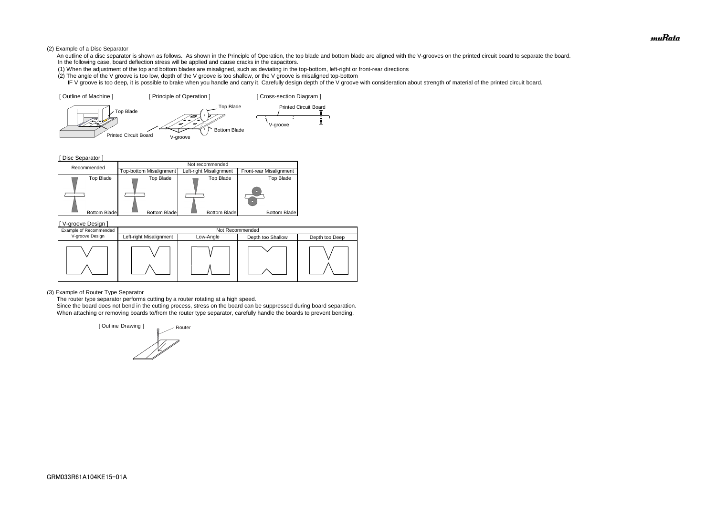### (2) Example of a Disc Separator

- An outline of a disc separator is shown as follows. As shown in the Principle of Operation, the top blade and bottom blade are aligned with the V-grooves on the printed circuit board to separate the board. In the following case, board deflection stress will be applied and cause cracks in the capacitors.
- (1) When the adjustment of the top and bottom blades are misaligned, such as deviating in the top-bottom, left-right or front-rear directions
- (2) The angle of the V groove is too low, depth of the V groove is too shallow, or the V groove is misaligned top-bottom
- IF V groove is too deep, it is possible to brake when you handle and carry it. Carefully design depth of the V groove with consideration about strength of material of the printed circuit board.

#### (3) Example of Router Type Separator

The router type separator performs cutting by a router rotating at a high speed.

[ Disc Separator ] Top Blade Top Blade Top Blade Top Blade Top Blade Bottom Blade Bottom Blade Bottom Blade Bottom Blade Bottom Blade Recommended<br>Recommended Top-bottom Misalignment Left-right Misalignment Top-bottom Misalignment Left-right Misalignment Front-rear Misalignment



 Since the board does not bend in the cutting process, stress on the board can be suppressed during board separation. When attaching or removing boards to/from the router type separator, carefully handle the boards to prevent bending.

| [V-groove Design]      |                         |           |                   |                |  |  |
|------------------------|-------------------------|-----------|-------------------|----------------|--|--|
| Example of Recommended | Not Recommended         |           |                   |                |  |  |
| V-groove Design        | Left-right Misalignment | Low-Angle | Depth too Shallow | Depth too Deep |  |  |
|                        |                         |           |                   |                |  |  |

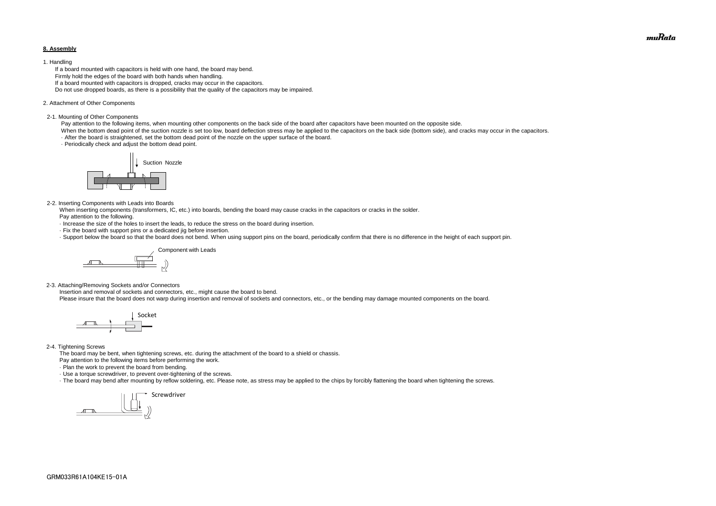#### **8. Assembly**

#### 1. Handling

 If a board mounted with capacitors is held with one hand, the board may bend. Firmly hold the edges of the board with both hands when handling. If a board mounted with capacitors is dropped, cracks may occur in the capacitors. Do not use dropped boards, as there is a possibility that the quality of the capacitors may be impaired.

#### 2. Attachment of Other Components

#### 2-1. Mounting of Other Components

Pay attention to the following items, when mounting other components on the back side of the board after capacitors have been mounted on the opposite side.

When the bottom dead point of the suction nozzle is set too low, board deflection stress may be applied to the capacitors on the back side (bottom side), and cracks may occur in the capacitors. · After the board is straightened, set the bottom dead point of the nozzle on the upper surface of the board.

· Periodically check and adjust the bottom dead point.

#### 2-2. Inserting Components with Leads into Boards

 When inserting components (transformers, IC, etc.) into boards, bending the board may cause cracks in the capacitors or cracks in the solder. Pay attention to the following.

- · Increase the size of the holes to insert the leads, to reduce the stress on the board during insertion.
- · Fix the board with support pins or a dedicated jig before insertion.
- · Support below the board so that the board does not bend. When using support pins on the board, periodically confirm that there is no difference in the height of each support pin.

2-3. Attaching/Removing Sockets and/or Connectors

Insertion and removal of sockets and connectors, etc., might cause the board to bend.

Please insure that the board does not warp during insertion and removal of sockets and connectors, etc., or the bending may damage mounted components on the board.

#### 2-4. Tightening Screws

The board may be bent, when tightening screws, etc. during the attachment of the board to a shield or chassis.

Pay attention to the following items before performing the work.

· Plan the work to prevent the board from bending.

· Use a torque screwdriver, to prevent over-tightening of the screws.

· The board may bend after mounting by reflow soldering, etc. Please note, as stress may be applied to the chips by forcibly flattening the board when tightening the screws.









muRata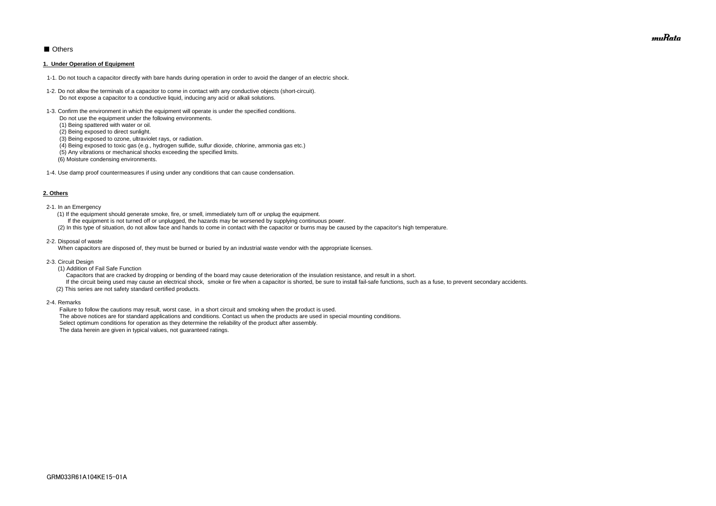### ■ Others

#### **1. Under Operation of Equipment**

- 1-1. Do not touch a capacitor directly with bare hands during operation in order to avoid the danger of an electric shock.
- 1-2. Do not allow the terminals of a capacitor to come in contact with any conductive objects (short-circuit). Do not expose a capacitor to a conductive liquid, inducing any acid or alkali solutions.
- 1-3. Confirm the environment in which the equipment will operate is under the specified conditions.
	- Do not use the equipment under the following environments.
	- (1) Being spattered with water or oil.
	- (2) Being exposed to direct sunlight.
	- (3) Being exposed to ozone, ultraviolet rays, or radiation.
	- (4) Being exposed to toxic gas (e.g., hydrogen sulfide, sulfur dioxide, chlorine, ammonia gas etc.)
	- (5) Any vibrations or mechanical shocks exceeding the specified limits.
	- (6) Moisture condensing environments.
- 1-4. Use damp proof countermeasures if using under any conditions that can cause condensation.

#### **2. Others**

If the circuit being used may cause an electrical shock, smoke or fire when a capacitor is shorted, be sure to install fail-safe functions, such as a fuse, to prevent secondary accidents. (2) This series are not safety standard certified products.

- 2-1. In an Emergency
	- (1) If the equipment should generate smoke, fire, or smell, immediately turn off or unplug the equipment.
	- If the equipment is not turned off or unplugged, the hazards may be worsened by supplying continuous power.
	- (2) In this type of situation, do not allow face and hands to come in contact with the capacitor or burns may be caused by the capacitor's high temperature.
- 2-2. Disposal of waste

When capacitors are disposed of, they must be burned or buried by an industrial waste vendor with the appropriate licenses.

- 2-3. Circuit Design
	- (1) Addition of Fail Safe Function

Capacitors that are cracked by dropping or bending of the board may cause deterioration of the insulation resistance, and result in a short.

2-4. Remarks

 Failure to follow the cautions may result, worst case, in a short circuit and smoking when the product is used. The above notices are for standard applications and conditions. Contact us when the products are used in special mounting conditions. Select optimum conditions for operation as they determine the reliability of the product after assembly. The data herein are given in typical values, not guaranteed ratings.

muRata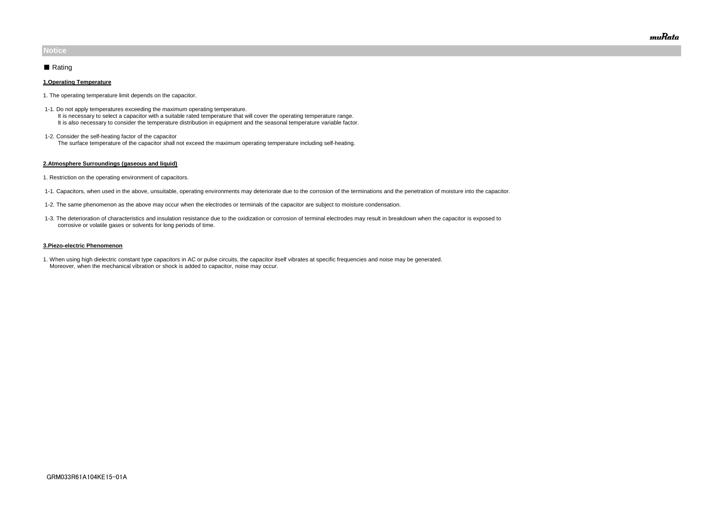#### **1.Operating Temperature**

- 1. The operating temperature limit depends on the capacitor.
- 1-1. Do not apply temperatures exceeding the maximum operating temperature. It is necessary to select a capacitor with a suitable rated temperature that will cover the operating temperature range. It is also necessary to consider the temperature distribution in equipment and the seasonal temperature variable factor.
- 1-2. Consider the self-heating factor of the capacitor The surface temperature of the capacitor shall not exceed the maximum operating temperature including self-heating.

#### **2.Atmosphere Surroundings (gaseous and liquid)**

- 1. Restriction on the operating environment of capacitors.
- 1-1. Capacitors, when used in the above, unsuitable, operating environments may deteriorate due to the corrosion of the terminations and the penetration of moisture into the capacitor.
- 1-2. The same phenomenon as the above may occur when the electrodes or terminals of the capacitor are subject to moisture condensation.
- 1-3. The deterioration of characteristics and insulation resistance due to the oxidization or corrosion of terminal electrodes may result in breakdown when the capacitor is exposed to corrosive or volatile gases or solvents for long periods of time.

#### **3.Piezo-electric Phenomenon**

1. When using high dielectric constant type capacitors in AC or pulse circuits, the capacitor itself vibrates at specific frequencies and noise may be generated. Moreover, when the mechanical vibration or shock is added to capacitor, noise may occur.

### **Notice**

### ■ Rating

muRata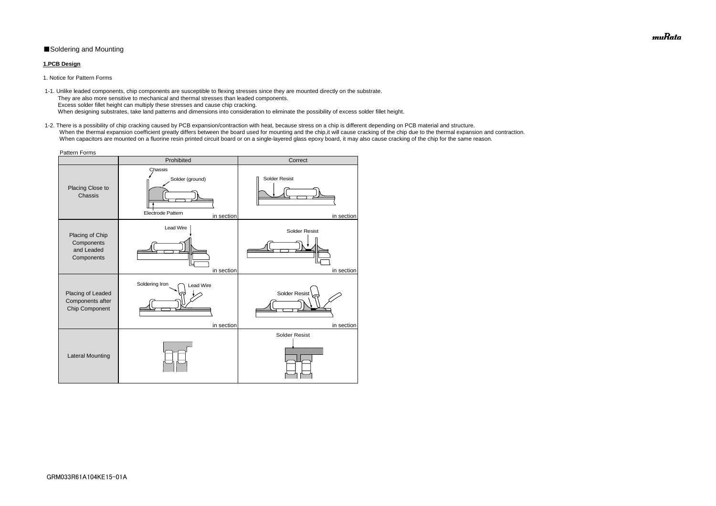### ■Soldering and Mounting

### **1.PCB Design**

1. Notice for Pattern Forms

 1-2. There is a possibility of chip cracking caused by PCB expansion/contraction with heat, because stress on a chip is different depending on PCB material and structure. When the thermal expansion coefficient greatly differs between the board used for mounting and the chip, it will cause cracking of the chip due to the thermal expansion and contraction. When capacitors are mounted on a fluorine resin printed circuit board or on a single-layered glass epoxy board, it may also cause cracking of the chip for the same reason.

 1-1. Unlike leaded components, chip components are susceptible to flexing stresses since they are mounted directly on the substrate. They are also more sensitive to mechanical and thermal stresses than leaded components. Excess solder fillet height can multiply these stresses and cause chip cracking. When designing substrates, take land patterns and dimensions into consideration to eliminate the possibility of excess solder fillet height.

| <b>Pattern Forms</b>                                      |                                                                      |                                    |  |  |  |  |
|-----------------------------------------------------------|----------------------------------------------------------------------|------------------------------------|--|--|--|--|
|                                                           | Prohibited                                                           | Correct                            |  |  |  |  |
| Placing Close to<br>Chassis                               | Chassis<br>Solder (ground)<br><b>Electrode Pattern</b><br>in section | <b>Solder Resist</b><br>in section |  |  |  |  |
| Placing of Chip<br>Components<br>and Leaded<br>Components | Lead Wire<br>in section                                              | <b>Solder Resist</b><br>in section |  |  |  |  |
| Placing of Leaded<br>Components after<br>Chip Component   | Soldering Iron<br><b>Lead Wire</b><br>in section                     | <b>Solder Resist</b><br>in section |  |  |  |  |
| <b>Lateral Mounting</b>                                   |                                                                      | <b>Solder Resist</b>               |  |  |  |  |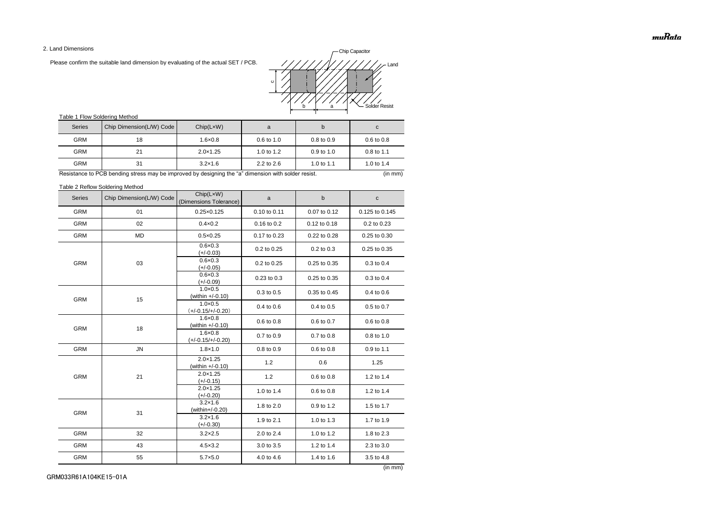2. Land Dimensions

Please confirm the suitable land dimension by evaluating of the actual SET / PCB.

### Table 1 Flow Soldering Method

Table 2 Reflow Soldering Method

(in mm)

| <b>Series</b> | Chip Dimension(L/W) Code | Chip(LxW)<br>(Dimensions Tolerance)      | a            | $\mathsf b$  | C              |
|---------------|--------------------------|------------------------------------------|--------------|--------------|----------------|
| <b>GRM</b>    | 01                       | $0.25 \times 0.125$                      | 0.10 to 0.11 | 0.07 to 0.12 | 0.125 to 0.145 |
| <b>GRM</b>    | 02                       | $0.4 \times 0.2$                         | 0.16 to 0.2  | 0.12 to 0.18 | 0.2 to 0.23    |
| <b>GRM</b>    | <b>MD</b>                | $0.5 \times 0.25$                        | 0.17 to 0.23 | 0.22 to 0.28 | 0.25 to 0.30   |
|               |                          | $0.6 \times 0.3$<br>$(+/-0.03)$          | 0.2 to 0.25  | 0.2 to 0.3   | 0.25 to 0.35   |
| <b>GRM</b>    | 03                       | $0.6 \times 0.3$<br>$(+/-0.05)$          | 0.2 to 0.25  | 0.25 to 0.35 | 0.3 to 0.4     |
|               |                          | $0.6 \times 0.3$<br>$(+/-0.09)$          | 0.23 to 0.3  | 0.25 to 0.35 | 0.3 to 0.4     |
| <b>GRM</b>    | 15                       | $1.0 \times 0.5$<br>(within +/-0.10)     | 0.3 to 0.5   | 0.35 to 0.45 | 0.4 to 0.6     |
|               |                          | $1.0 \times 0.5$<br>$(+/-0.15/+/-0.20)$  | 0.4 to 0.6   | 0.4 to 0.5   | 0.5 to 0.7     |
| <b>GRM</b>    | 18                       | $1.6 \times 0.8$<br>(within +/-0.10)     | 0.6 to 0.8   | 0.6 to 0.7   | 0.6 to 0.8     |
|               |                          | $1.6 \times 0.8$<br>$(+/-0.15/+/-0.20)$  | 0.7 to 0.9   | 0.7 to 0.8   | 0.8 to 1.0     |
| <b>GRM</b>    | ${\sf JN}$               | $1.8 \times 1.0$                         | 0.8 to 0.9   | 0.6 to 0.8   | 0.9 to 1.1     |
|               | 21                       | $2.0 \times 1.25$<br>(within $+/-0.10$ ) | 1.2          | 0.6          | 1.25           |
| <b>GRM</b>    |                          | $2.0 \times 1.25$<br>$(+/-0.15)$         | 1.2          | 0.6 to 0.8   | 1.2 to 1.4     |
|               |                          | $2.0 \times 1.25$<br>$(+/-0.20)$         | 1.0 to 1.4   | 0.6 to 0.8   | 1.2 to 1.4     |
| <b>GRM</b>    | 31                       | $3.2 \times 1.6$<br>(within+/-0.20)      | 1.8 to 2.0   | 0.9 to 1.2   | 1.5 to 1.7     |
|               |                          | $3.2 \times 1.6$<br>$(+/-0.30)$          | 1.9 to 2.1   | 1.0 to 1.3   | 1.7 to 1.9     |
| <b>GRM</b>    | 32                       | $3.2 \times 2.5$                         | 2.0 to 2.4   | 1.0 to 1.2   | 1.8 to 2.3     |
| <b>GRM</b>    | 43                       | $4.5 \times 3.2$                         | 3.0 to 3.5   | 1.2 to 1.4   | 2.3 to 3.0     |
| <b>GRM</b>    | 55                       | $5.7 \times 5.0$                         | 4.0 to 4.6   | 1.4 to 1.6   | 3.5 to 4.8     |

| <b>Series</b> | Chip Dimension(L/W) Code | Chip(LxW)         | a                     |                       | C                     |
|---------------|--------------------------|-------------------|-----------------------|-----------------------|-----------------------|
| <b>GRM</b>    | 18                       | $1.6 \times 0.8$  | $0.6 \text{ to } 1.0$ | $0.8 \text{ to } 0.9$ | $0.6 \text{ to } 0.8$ |
| <b>GRM</b>    | 21                       | $2.0 \times 1.25$ | 1.0 to $1.2$          | $0.9$ to 1.0          | $0.8 \text{ to } 1.1$ |
| <b>GRM</b>    | 31                       | $3.2 \times 1.6$  | $2.2$ to $2.6$        | 1.0 to 1.1            | 1.0 to $1.4$          |

Resistance to PCB bending stress may be improved by designing the "a" dimension with solder resist. (in mm) (in mm)

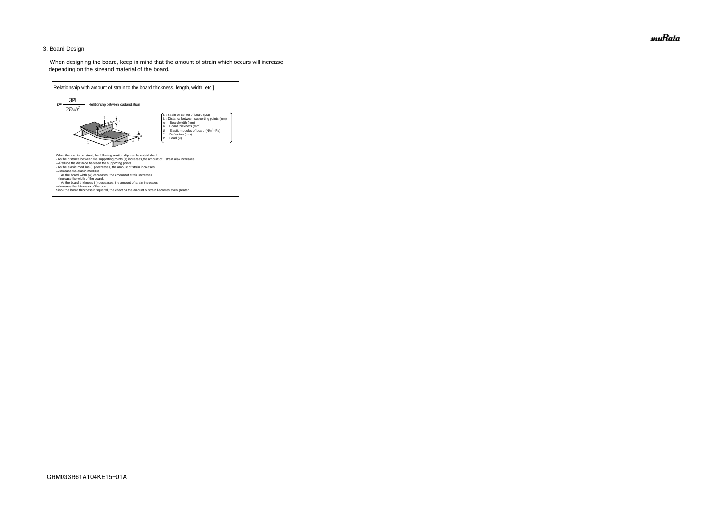### 3. Board Design

 When designing the board, keep in mind that the amount of strain which occurs will increase depending on the sizeand material of the board.



muRata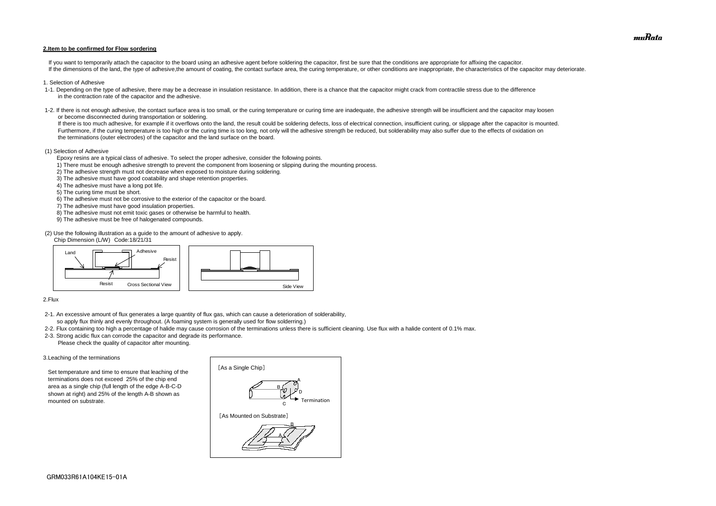#### **2.Item to be confirmed for Flow sordering**

If you want to temporarily attach the capacitor to the board using an adhesive agent before soldering the capacitor, first be sure that the conditions are appropriate for affixing the capacitor. If the dimensions of the land, the type of adhesive, the amount of coating, the contact surface area, the curing temperature, or other conditions are inappropriate, the characteristics of the capacitor may deteriorate.

- 1. Selection of Adhesive
- 1-1. Depending on the type of adhesive, there may be a decrease in insulation resistance. In addition, there is a chance that the capacitor might crack from contractile stress due to the difference in the contraction rate of the capacitor and the adhesive.
- 1-2. If there is not enough adhesive, the contact surface area is too small, or the curing temperature or curing time are inadequate, the adhesive strength will be insufficient and the capacitor may loosen or become disconnected during transportation or soldering.

If there is too much adhesive, for example if it overflows onto the land, the result could be soldering defects, loss of electrical connection, insufficient curing, or slippage after the capacitor is mounted. Furthermore, if the curing temperature is too high or the curing time is too long, not only will the adhesive strength be reduced, but solderability may also suffer due to the effects of oxidation on the terminations (outer electrodes) of the capacitor and the land surface on the board.

#### (1) Selection of Adhesive

Epoxy resins are a typical class of adhesive. To select the proper adhesive, consider the following points.

- 1) There must be enough adhesive strength to prevent the component from loosening or slipping during the mounting process.
- 2) The adhesive strength must not decrease when exposed to moisture during soldering.
- 3) The adhesive must have good coatability and shape retention properties.
- 4) The adhesive must have a long pot life.
- 5) The curing time must be short.
- 6) The adhesive must not be corrosive to the exterior of the capacitor or the board.
- 7) The adhesive must have good insulation properties.
- 8) The adhesive must not emit toxic gases or otherwise be harmful to health.
- 9) The adhesive must be free of halogenated compounds.

(2) Use the following illustration as a guide to the amount of adhesive to apply.

Chip Dimension (L/W) Code:18/21/31

#### 2.Flux

- 2-1. An excessive amount of flux generates a large quantity of flux gas, which can cause a deterioration of solderability, so apply flux thinly and evenly throughout. (A foaming system is generally used for flow solderring.)
- 2-2. Flux containing too high a percentage of halide may cause corrosion of the terminations unless there is sufficient cleaning. Use flux with a halide content of 0.1% max.
- 2-3. Strong acidic flux can corrode the capacitor and degrade its performance. Please check the quality of capacitor after mounting.

#### 3.Leaching of the terminations

 Set temperature and time to ensure that leaching of the terminations does not exceed 25% of the chip end area as a single chip (full length of the edge A-B-C-D shown at right) and 25% of the length A-B shown as mounted on substrate.





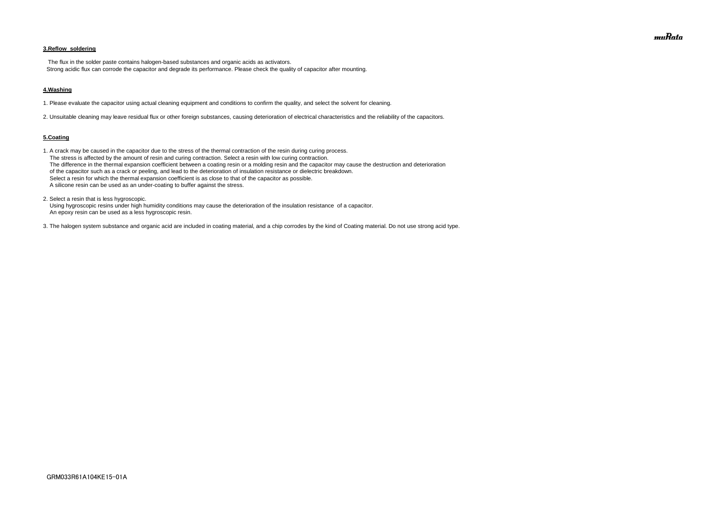### **3.Reflow soldering**

 The flux in the solder paste contains halogen-based substances and organic acids as activators. Strong acidic flux can corrode the capacitor and degrade its performance. Please check the quality of capacitor after mounting.

#### **4.Washing**

1. Please evaluate the capacitor using actual cleaning equipment and conditions to confirm the quality, and select the solvent for cleaning.

2. Unsuitable cleaning may leave residual flux or other foreign substances, causing deterioration of electrical characteristics and the reliability of the capacitors.

#### **5.Coating**

1. A crack may be caused in the capacitor due to the stress of the thermal contraction of the resin during curing process. The stress is affected by the amount of resin and curing contraction. Select a resin with low curing contraction. The difference in the thermal expansion coefficient between a coating resin or a molding resin and the capacitor may cause the destruction and deterioration of the capacitor such as a crack or peeling, and lead to the deterioration of insulation resistance or dielectric breakdown. Select a resin for which the thermal expansion coefficient is as close to that of the capacitor as possible. A silicone resin can be used as an under-coating to buffer against the stress.

2. Select a resin that is less hygroscopic.

 Using hygroscopic resins under high humidity conditions may cause the deterioration of the insulation resistance of a capacitor. An epoxy resin can be used as a less hygroscopic resin.

3. The halogen system substance and organic acid are included in coating material, and a chip corrodes by the kind of Coating material. Do not use strong acid type.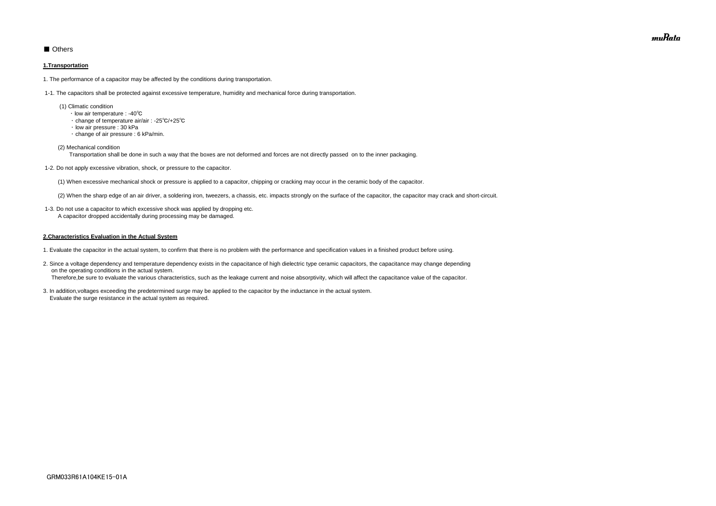### ■ Others

### **1.Transportation**

1. The performance of a capacitor may be affected by the conditions during transportation.

1-1. The capacitors shall be protected against excessive temperature, humidity and mechanical force during transportation.

- (1) Climatic condition
	- ・ low air temperature : -40℃
	- ・ change of temperature air/air : -25℃/+25℃
	- ・ low air pressure : 30 kPa
	- ・ change of air pressure : 6 kPa/min.

(2) Mechanical condition

Transportation shall be done in such a way that the boxes are not deformed and forces are not directly passed on to the inner packaging.

1-2. Do not apply excessive vibration, shock, or pressure to the capacitor.

(1) When excessive mechanical shock or pressure is applied to a capacitor, chipping or cracking may occur in the ceramic body of the capacitor.

(2) When the sharp edge of an air driver, a soldering iron, tweezers, a chassis, etc. impacts strongly on the surface of the capacitor, the capacitor may crack and short-circuit.

 1-3. Do not use a capacitor to which excessive shock was applied by dropping etc. A capacitor dropped accidentally during processing may be damaged.

#### **2.Characteristics Evaluation in the Actual System**

- 1. Evaluate the capacitor in the actual system, to confirm that there is no problem with the performance and specification values in a finished product before using.
- 2. Since a voltage dependency and temperature dependency exists in the capacitance of high dielectric type ceramic capacitors, the capacitance may change depending on the operating conditions in the actual system. Therefore,be sure to evaluate the various characteristics, such as the leakage current and noise absorptivity, which will affect the capacitance value of the capacitor.
- 3. In addition,voltages exceeding the predetermined surge may be applied to the capacitor by the inductance in the actual system. Evaluate the surge resistance in the actual system as required.

muRata